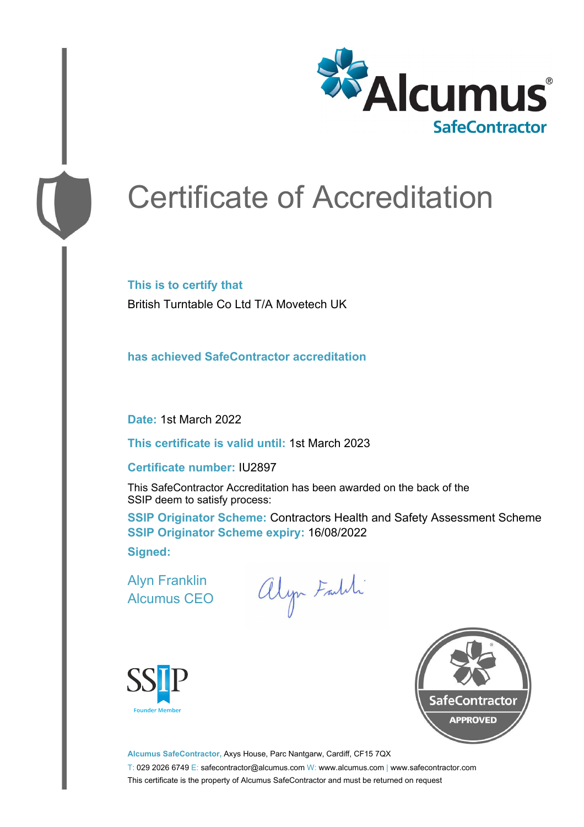

# Certificate of Accreditation

**This is to certify that** British Turntable Co Ltd T/A Movetech UK

**has achieved SafeContractor accreditation**

**Date:** 1st March 2022

**This certificate is valid until:** 1st March 2023

#### **Certificate number:** IU2897

This SafeContractor Accreditation has been awarded on the back of the SSIP deem to satisfy process:

**SSIP Originator Scheme: Contractors Health and Safety Assessment Scheme SSIP Originator Scheme expiry:** 16/08/2022 **Signed:**

Alyn Franklin Alcumus CEO

alyn Faldi





**Alcumus SafeContractor,** Axys House, Parc Nantgarw, Cardiff, CF15 7QX T: 029 2026 6749 E: safecontractor@alcumus.com W: www.alcumus.com | www.safecontractor.com This certificate is the property of Alcumus SafeContractor and must be returned on request